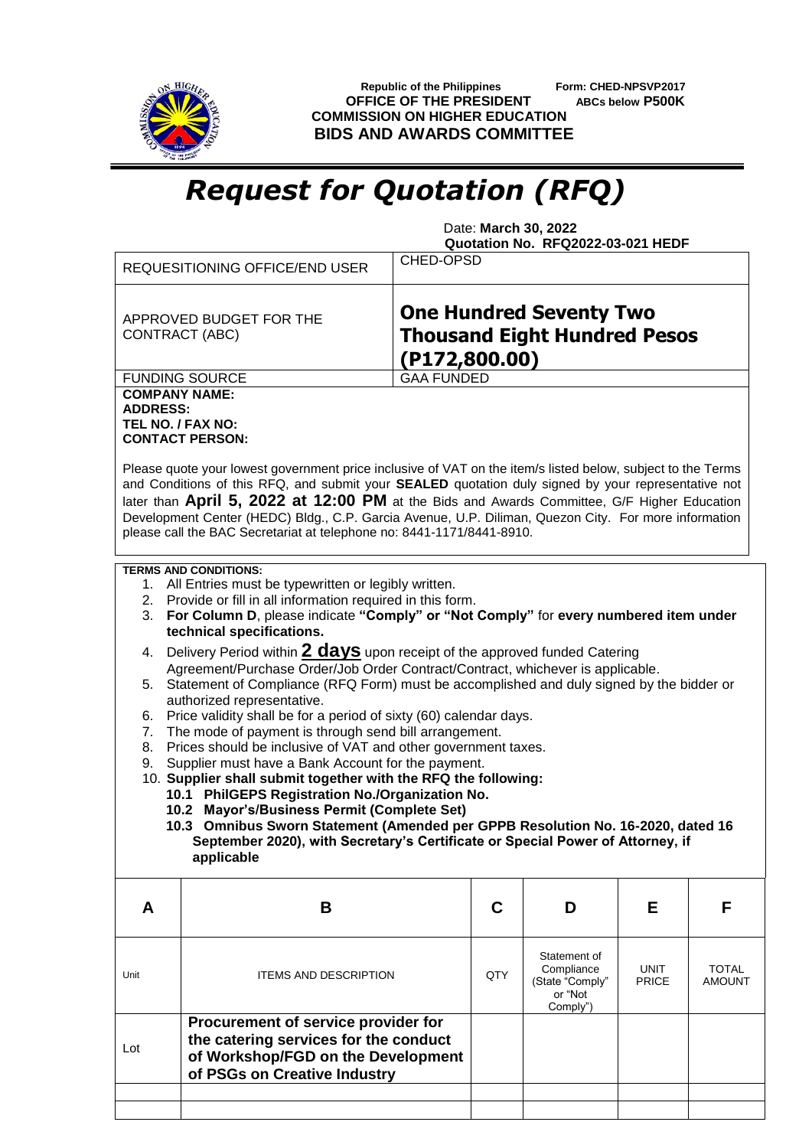

 **Republic of the Philippines Form: CHED-NPSVP2017 OFFICE OF THE PRESIDENT ABCs below P500K COMMISSION ON HIGHER EDUCATION BIDS AND AWARDS COMMITTEE**

## *Request for Quotation (RFQ)*

 Date: **March 30, 2022 Quotation No. RFQ2022-03-021 HEDF**

|                                                                                                                                                                                                                                                                                                                                                                                                                                                                                                    | REQUESITIONING OFFICE/END USER                                                                                                                     |                   |     |                                                                      |                             |                        |  |  |  |
|----------------------------------------------------------------------------------------------------------------------------------------------------------------------------------------------------------------------------------------------------------------------------------------------------------------------------------------------------------------------------------------------------------------------------------------------------------------------------------------------------|----------------------------------------------------------------------------------------------------------------------------------------------------|-------------------|-----|----------------------------------------------------------------------|-----------------------------|------------------------|--|--|--|
| <b>One Hundred Seventy Two</b><br>APPROVED BUDGET FOR THE<br><b>Thousand Eight Hundred Pesos</b><br><b>CONTRACT (ABC)</b><br>(P172,800.00)                                                                                                                                                                                                                                                                                                                                                         |                                                                                                                                                    |                   |     |                                                                      |                             |                        |  |  |  |
|                                                                                                                                                                                                                                                                                                                                                                                                                                                                                                    | <b>FUNDING SOURCE</b>                                                                                                                              | <b>GAA FUNDED</b> |     |                                                                      |                             |                        |  |  |  |
| <b>COMPANY NAME:</b><br><b>ADDRESS:</b><br>TEL NO. / FAX NO:                                                                                                                                                                                                                                                                                                                                                                                                                                       | <b>CONTACT PERSON:</b>                                                                                                                             |                   |     |                                                                      |                             |                        |  |  |  |
| Please quote your lowest government price inclusive of VAT on the item/s listed below, subject to the Terms<br>and Conditions of this RFQ, and submit your SEALED quotation duly signed by your representative not<br>later than April 5, 2022 at 12:00 PM at the Bids and Awards Committee, G/F Higher Education<br>Development Center (HEDC) Bldg., C.P. Garcia Avenue, U.P. Diliman, Quezon City. For more information<br>please call the BAC Secretariat at telephone no: 8441-1171/8441-8910. |                                                                                                                                                    |                   |     |                                                                      |                             |                        |  |  |  |
| <b>TERMS AND CONDITIONS:</b><br>1. All Entries must be typewritten or legibly written.<br>2. Provide or fill in all information required in this form.<br>For Column D, please indicate "Comply" or "Not Comply" for every numbered item under<br>3.<br>technical specifications.                                                                                                                                                                                                                  |                                                                                                                                                    |                   |     |                                                                      |                             |                        |  |  |  |
| Delivery Period within 2 days upon receipt of the approved funded Catering<br>4.<br>Agreement/Purchase Order/Job Order Contract/Contract, whichever is applicable.<br>5. Statement of Compliance (RFQ Form) must be accomplished and duly signed by the bidder or<br>authorized representative.<br>Price validity shall be for a period of sixty (60) calendar days.<br>6.<br>The mode of payment is through send bill arrangement.<br>7.                                                          |                                                                                                                                                    |                   |     |                                                                      |                             |                        |  |  |  |
| Prices should be inclusive of VAT and other government taxes.<br>8.<br>Supplier must have a Bank Account for the payment.<br>9.<br>10. Supplier shall submit together with the RFQ the following:<br>10.1 PhilGEPS Registration No./Organization No.<br>10.2 Mayor's/Business Permit (Complete Set)<br>10.3 Omnibus Sworn Statement (Amended per GPPB Resolution No. 16-2020, dated 16<br>September 2020), with Secretary's Certificate or Special Power of Attorney, if<br>applicable             |                                                                                                                                                    |                   |     |                                                                      |                             |                        |  |  |  |
| A                                                                                                                                                                                                                                                                                                                                                                                                                                                                                                  | B                                                                                                                                                  |                   | C   | D                                                                    | Е                           | F                      |  |  |  |
| Unit                                                                                                                                                                                                                                                                                                                                                                                                                                                                                               | <b>ITEMS AND DESCRIPTION</b>                                                                                                                       |                   | QTY | Statement of<br>Compliance<br>(State "Comply"<br>or "Not<br>Comply") | <b>UNIT</b><br><b>PRICE</b> | TOTAL<br><b>AMOUNT</b> |  |  |  |
| Lot                                                                                                                                                                                                                                                                                                                                                                                                                                                                                                | Procurement of service provider for<br>the catering services for the conduct<br>of Workshop/FGD on the Development<br>of PSGs on Creative Industry |                   |     |                                                                      |                             |                        |  |  |  |
|                                                                                                                                                                                                                                                                                                                                                                                                                                                                                                    |                                                                                                                                                    |                   |     |                                                                      |                             |                        |  |  |  |
|                                                                                                                                                                                                                                                                                                                                                                                                                                                                                                    |                                                                                                                                                    |                   |     |                                                                      |                             |                        |  |  |  |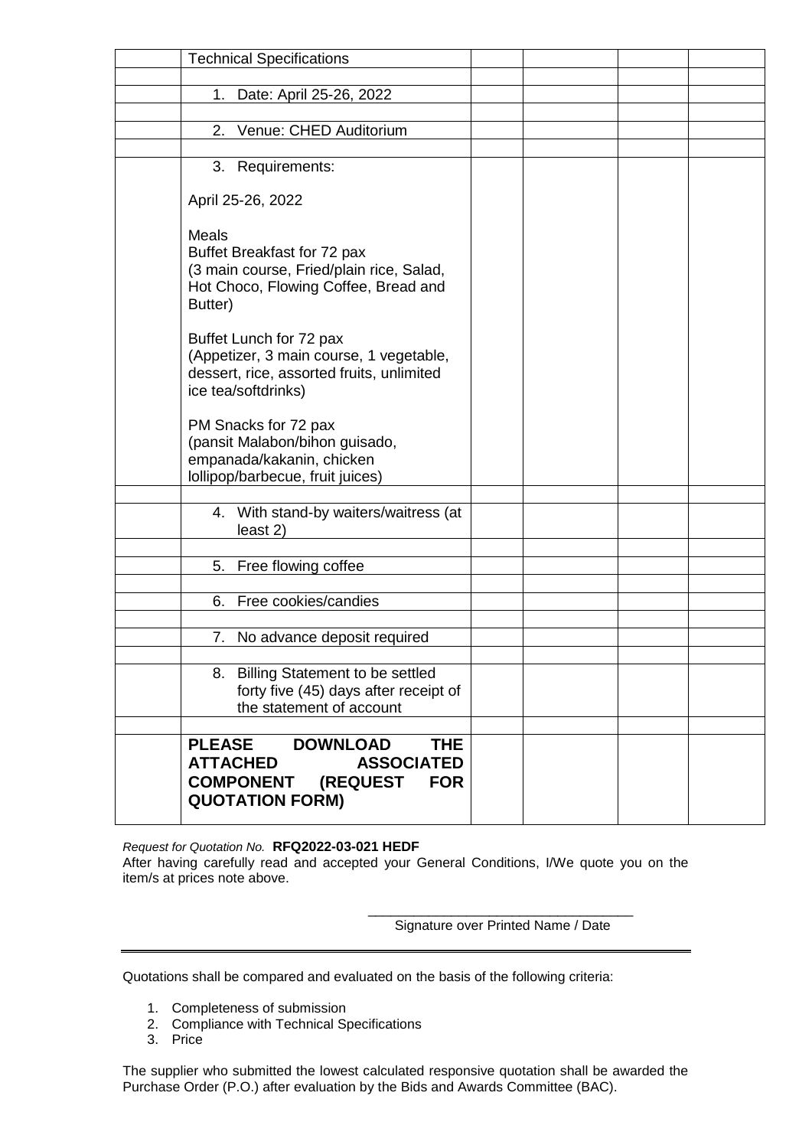|                                  | <b>Technical Specifications</b>                                                                                                        |  |  |
|----------------------------------|----------------------------------------------------------------------------------------------------------------------------------------|--|--|
|                                  | 1. Date: April 25-26, 2022                                                                                                             |  |  |
|                                  |                                                                                                                                        |  |  |
| 2.                               | Venue: CHED Auditorium                                                                                                                 |  |  |
|                                  |                                                                                                                                        |  |  |
|                                  | 3. Requirements:                                                                                                                       |  |  |
|                                  | April 25-26, 2022                                                                                                                      |  |  |
| Meals<br>Butter)                 | Buffet Breakfast for 72 pax<br>(3 main course, Fried/plain rice, Salad,<br>Hot Choco, Flowing Coffee, Bread and                        |  |  |
|                                  | Buffet Lunch for 72 pax<br>(Appetizer, 3 main course, 1 vegetable,<br>dessert, rice, assorted fruits, unlimited<br>ice tea/softdrinks) |  |  |
|                                  | PM Snacks for 72 pax<br>(pansit Malabon/bihon guisado,<br>empanada/kakanin, chicken<br>Iollipop/barbecue, fruit juices)                |  |  |
|                                  |                                                                                                                                        |  |  |
|                                  | 4. With stand-by waiters/waitress (at<br>least 2)                                                                                      |  |  |
|                                  | 5. Free flowing coffee                                                                                                                 |  |  |
|                                  |                                                                                                                                        |  |  |
| 6.                               | Free cookies/candies                                                                                                                   |  |  |
|                                  |                                                                                                                                        |  |  |
|                                  | 7. No advance deposit required                                                                                                         |  |  |
|                                  | 8. Billing Statement to be settled<br>forty five (45) days after receipt of<br>the statement of account                                |  |  |
|                                  |                                                                                                                                        |  |  |
| <b>PLEASE</b><br><b>ATTACHED</b> | <b>DOWNLOAD</b><br><b>THE</b><br><b>ASSOCIATED</b><br><b>COMPONENT</b><br>(REQUEST<br><b>FOR</b><br><b>QUOTATION FORM)</b>             |  |  |

*Request for Quotation No.* **RFQ2022-03-021 HEDF**

After having carefully read and accepted your General Conditions, I/We quote you on the item/s at prices note above.

> \_\_\_\_\_\_\_\_\_\_\_\_\_\_\_\_\_\_\_\_\_\_\_\_\_\_\_\_\_\_\_\_\_\_\_ Signature over Printed Name / Date

Quotations shall be compared and evaluated on the basis of the following criteria:

- 1. Completeness of submission
- 2. Compliance with Technical Specifications
- 3. Price

The supplier who submitted the lowest calculated responsive quotation shall be awarded the Purchase Order (P.O.) after evaluation by the Bids and Awards Committee (BAC).